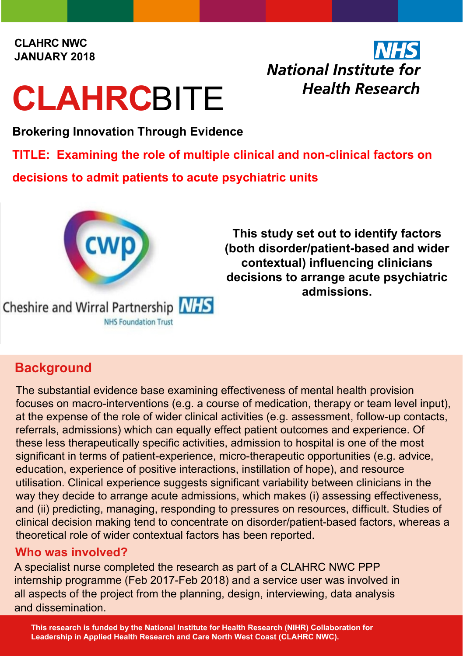#### **CLAHRC NWC JANUARY 2018**

# **CLAHRC**BITE

## **National Institute for Health Research**

**Brokering Innovation Through Evidence**

**TITLE: Examining the role of multiple clinical and non-clinical factors on** 

**decisions to admit patients to acute psychiatric units**



### **Background**

The substantial evidence base examining effectiveness of mental health provision focuses on macro-interventions (e.g. a course of medication, therapy or team level input), at the expense of the role of wider clinical activities (e.g. assessment, follow-up contacts, referrals, admissions) which can equally effect patient outcomes and experience. Of these less therapeutically specific activities, admission to hospital is one of the most significant in terms of patient-experience, micro-therapeutic opportunities (e.g. advice, education, experience of positive interactions, instillation of hope), and resource utilisation. Clinical experience suggests significant variability between clinicians in the way they decide to arrange acute admissions, which makes (i) assessing effectiveness, and (ii) predicting, managing, responding to pressures on resources, difficult. Studies of clinical decision making tend to concentrate on disorder/patient-based factors, whereas a theoretical role of wider contextual factors has been reported.

#### **Who was involved?**

A specialist nurse completed the research as part of a CLAHRC NWC PPP internship programme (Feb 2017-Feb 2018) and a service user was involved in all aspects of the project from the planning, design, interviewing, data analysis and dissemination.